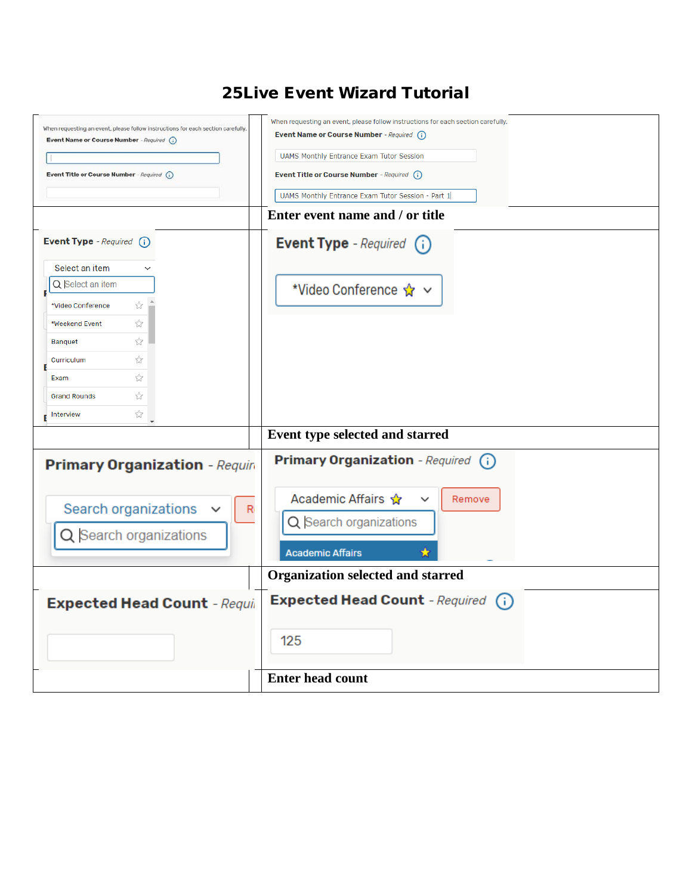## 25Live Event Wizard Tutorial

| When requesting an event, please follow instructions for each section carefully. | When requesting an event, please follow instructions for each section carefully.<br>Event Name or Course Number - Required (i) |
|----------------------------------------------------------------------------------|--------------------------------------------------------------------------------------------------------------------------------|
| Event Name or Course Number - Required (i)                                       |                                                                                                                                |
|                                                                                  | <b>UAMS Monthly Entrance Exam Tutor Session</b>                                                                                |
| Event Title or Course Number - Required (i)                                      | <b>Event Title or Course Number</b> - Required (i)                                                                             |
|                                                                                  | UAMS Monthly Entrance Exam Tutor Session - Part 1                                                                              |
|                                                                                  | Enter event name and / or title                                                                                                |
| <b>Event Type</b> - Required $(i)$                                               | Event Type - Required (i)                                                                                                      |
| Select an item                                                                   |                                                                                                                                |
| Q Select an item                                                                 | *Video Conference ☆ ∨                                                                                                          |
| ☆<br>*Video Conference                                                           |                                                                                                                                |
| ☆<br>*Weekend Event                                                              |                                                                                                                                |
| ☆<br>Banquet                                                                     |                                                                                                                                |
| ☆<br>Curriculum                                                                  |                                                                                                                                |
| ☆<br>Exam                                                                        |                                                                                                                                |
| ☆<br><b>Grand Rounds</b>                                                         |                                                                                                                                |
| ☆<br>Interview                                                                   |                                                                                                                                |
|                                                                                  |                                                                                                                                |
|                                                                                  | Event type selected and starred                                                                                                |
| <b>Primary Organization</b> - Requir                                             | Primary Organization - Required (i)                                                                                            |
|                                                                                  |                                                                                                                                |
| Search organizations<br>R                                                        | Academic Affairs ☆<br>Remove<br>$\checkmark$                                                                                   |
|                                                                                  | Q Search organizations                                                                                                         |
| Q Search organizations                                                           |                                                                                                                                |
|                                                                                  | <b>Academic Affairs</b>                                                                                                        |
|                                                                                  | <b>Organization selected and starred</b>                                                                                       |
| <b>Expected Head Count</b> - Requir                                              | Expected Head Count - Required (i)                                                                                             |
|                                                                                  |                                                                                                                                |
|                                                                                  | 125                                                                                                                            |
|                                                                                  |                                                                                                                                |
|                                                                                  | <b>Enter head count</b>                                                                                                        |
|                                                                                  |                                                                                                                                |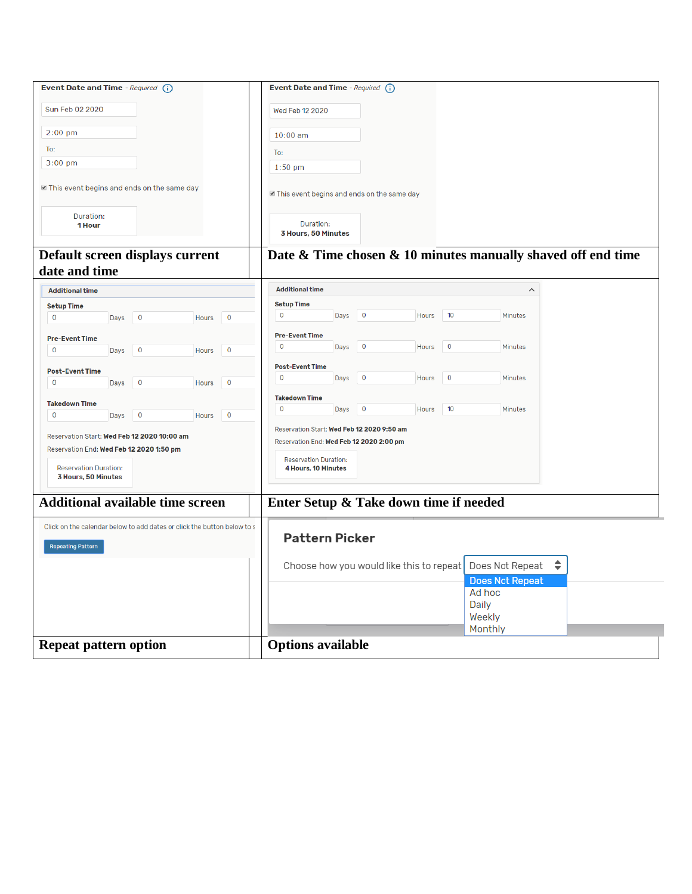| Event Date and Time - Required (i)                                                                  |                          |       |             | Event Date and Time - Required (i)                  |      |                         |                                          |             |                                                              |  |
|-----------------------------------------------------------------------------------------------------|--------------------------|-------|-------------|-----------------------------------------------------|------|-------------------------|------------------------------------------|-------------|--------------------------------------------------------------|--|
| Sun Feb 02 2020                                                                                     |                          |       |             | Wed Feb 12 2020                                     |      |                         |                                          |             |                                                              |  |
| $2:00$ pm                                                                                           |                          |       |             | $10:00$ am                                          |      |                         |                                          |             |                                                              |  |
| To:                                                                                                 |                          |       |             | To:                                                 |      |                         |                                          |             |                                                              |  |
| $3:00$ pm                                                                                           |                          |       |             | $1:50$ pm                                           |      |                         |                                          |             |                                                              |  |
| In This event begins and ends on the same day                                                       |                          |       |             | In This event begins and ends on the same day       |      |                         |                                          |             |                                                              |  |
| Duration:<br>1 Hour                                                                                 |                          |       |             | Duration:<br>3 Hours, 50 Minutes                    |      |                         |                                          |             |                                                              |  |
| Default screen displays current<br>date and time                                                    |                          |       |             |                                                     |      |                         |                                          |             | Date & Time chosen & 10 minutes manually shaved off end time |  |
| <b>Additional time</b>                                                                              |                          |       |             | <b>Additional time</b>                              |      |                         |                                          |             | $\widehat{\phantom{a}}$                                      |  |
| <b>Setup Time</b>                                                                                   |                          |       |             | <b>Setup Time</b>                                   |      |                         |                                          |             |                                                              |  |
| 0<br>Days                                                                                           | $\mathbf 0$              | Hours | $\mathbf 0$ | $\mathbf 0$                                         | Days | $\overline{\mathbf{0}}$ | Hours                                    | 10          | Minutes                                                      |  |
| <b>Pre-Event Time</b>                                                                               |                          |       |             | <b>Pre-Event Time</b>                               |      |                         |                                          |             |                                                              |  |
| $\mathbf 0$<br>Days                                                                                 | $\mathbf 0$              | Hours | $\mathbf 0$ | $\mathbf 0$                                         | Days | $\overline{0}$          | Hours                                    | $\bf{0}$    | Minutes                                                      |  |
|                                                                                                     |                          |       |             | <b>Post-Event Time</b>                              |      |                         |                                          |             |                                                              |  |
| <b>Post-Event Time</b><br>$\mathbf 0$<br>Days                                                       | 0                        | Hours | $\mathbf 0$ | $\mathbf 0$                                         | Days | $\overline{0}$          | Hours                                    | $\mathbf 0$ | Minutes                                                      |  |
|                                                                                                     |                          |       |             | <b>Takedown Time</b>                                |      |                         |                                          |             |                                                              |  |
| <b>Takedown Time</b>                                                                                |                          |       |             | $\mathbf 0$                                         | Days | $\overline{\mathbf{0}}$ | Hours                                    | 10          | Minutes                                                      |  |
| 0<br>Days                                                                                           | $\overline{\phantom{0}}$ | Hours | $\mathbf 0$ | Reservation Start: Wed Feb 12 2020 9:50 am          |      |                         |                                          |             |                                                              |  |
| Reservation Start: Wed Feb 12 2020 10:00 am                                                         |                          |       |             | Reservation End: Wed Feb 12 2020 2:00 pm            |      |                         |                                          |             |                                                              |  |
| Reservation End: Wed Feb 12 2020 1:50 pm                                                            |                          |       |             |                                                     |      |                         |                                          |             |                                                              |  |
| <b>Reservation Duration:</b>                                                                        |                          |       |             | <b>Reservation Duration:</b><br>4 Hours, 10 Minutes |      |                         |                                          |             |                                                              |  |
| 3 Hours, 50 Minutes                                                                                 |                          |       |             |                                                     |      |                         |                                          |             |                                                              |  |
| <b>Additional available time screen</b>                                                             |                          |       |             | Enter Setup & Take down time if needed              |      |                         |                                          |             |                                                              |  |
| Click on the calendar below to add dates or click the button below to s<br><b>Repeating Pattern</b> |                          |       |             | <b>Pattern Picker</b>                               |      |                         |                                          |             |                                                              |  |
|                                                                                                     |                          |       |             |                                                     |      |                         | Choose how you would like this to repeat |             | $\div$<br>Does Not Repeat<br><b>Does Not Repeat</b>          |  |
|                                                                                                     |                          |       |             |                                                     |      |                         |                                          |             | Ad hoc                                                       |  |
|                                                                                                     |                          |       |             |                                                     |      |                         |                                          |             | Daily<br>Weekly                                              |  |
|                                                                                                     |                          |       |             |                                                     |      |                         |                                          |             | Monthly                                                      |  |
| <b>Repeat pattern option</b>                                                                        |                          |       |             | <b>Options available</b>                            |      |                         |                                          |             |                                                              |  |
|                                                                                                     |                          |       |             |                                                     |      |                         |                                          |             |                                                              |  |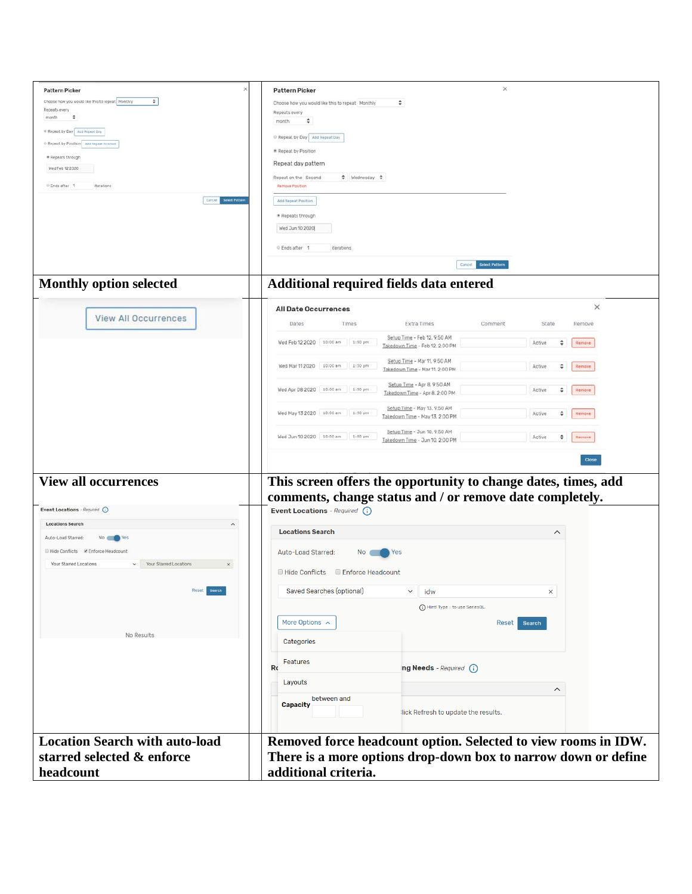| <b>Pattern Picker</b><br>Choose how you would like this to repeat Monthly<br>$\hat{\mathbf{v}}$<br>Repeats every<br>month<br>$\ddot{\phantom{1}}$<br>* Repeat by Day App Repeat Day<br>@ Repeat by Position Ass Hepear Posten<br>* Repeats through<br>Wed Feb 12 2020<br>U Ends after 1<br>Rerations | ×<br><b>Pattern Picker</b><br>÷<br>Choose how you would like this to repeat Monthly<br>Repeats every<br>month<br>÷<br>Repeat by Day Add Repeat Day<br>* Repeat by Position<br>Repeat day pattern<br>$\Leftrightarrow$ Wednesday $\Leftrightarrow$<br>Repeat on the Second<br>Remove Position |
|------------------------------------------------------------------------------------------------------------------------------------------------------------------------------------------------------------------------------------------------------------------------------------------------------|----------------------------------------------------------------------------------------------------------------------------------------------------------------------------------------------------------------------------------------------------------------------------------------------|
| Cancel Senect Patters<br><b>Monthly option selected</b>                                                                                                                                                                                                                                              | Add Repeat Position<br>Repeats through<br>Wed Jun 10 2020<br>Ends after 1<br>iterations<br>Cancel Select Pattern<br>Additional required fields data entered                                                                                                                                  |
|                                                                                                                                                                                                                                                                                                      |                                                                                                                                                                                                                                                                                              |
| <b>View All Occurrences</b>                                                                                                                                                                                                                                                                          | ×<br>All Date Occurrences<br>Extra Times<br>Dates<br>Comment<br>State<br>Times<br>Remove                                                                                                                                                                                                     |
|                                                                                                                                                                                                                                                                                                      | Setup Time - Feb 12, 9:50 AM<br>Wed Feb 12 2020   10:00 am   1:50 pm<br>٠<br>Active<br>Remove<br>Takedown Time - Feb 12. 2:00 PM                                                                                                                                                             |
|                                                                                                                                                                                                                                                                                                      | Setup Time - Mar 11, 9:50 AM<br>Wed Mar 11 2020 10:00 am 1:50 pm<br>٠<br>Active<br>Remove<br>Takedown Time - Mar 11, 2:00 PM                                                                                                                                                                 |
|                                                                                                                                                                                                                                                                                                      | Setup Time - Apr 8, 9:50 AM<br>Wed Apr 08 2020 10:00 am 1:50 pm<br>Active<br>٠<br>Remove<br>Takedown Time - Apr 8, 2:00 PM                                                                                                                                                                   |
|                                                                                                                                                                                                                                                                                                      | Setup Time - May 13, 9:50 AM<br>Wed May 13 2020 10:00 am 1:50 pm<br>÷<br>Active<br>Remove<br>Takedown Time - May 13, 2:00 PM                                                                                                                                                                 |
|                                                                                                                                                                                                                                                                                                      | Setup Time - Jun 10, 9:50 AM<br>Wed Jun 10 2020 10:00 am 1:50 pm<br>÷<br>Active<br>Remove<br>Takedown Time - Jun 10, 2:00 PM                                                                                                                                                                 |
| <b>View all occurrences</b>                                                                                                                                                                                                                                                                          | Close<br>This screen offers the opportunity to change dates, times, add<br>comments, change status and / or remove date completely.                                                                                                                                                          |
| Event Locations - Required (i)                                                                                                                                                                                                                                                                       | Event Locations - Required (i)                                                                                                                                                                                                                                                               |
| <b>Locations Search</b><br>$\overline{\phantom{a}}$<br>Auto-Load Starred:<br>No Control Yes                                                                                                                                                                                                          | <b>Locations Search</b><br>$\widehat{\phantom{a}}$                                                                                                                                                                                                                                           |
| Il Hide Conflicts & Enforce Headcount<br>$\vee$ Your Starred Locations<br>Your Starred Locations<br>$\times$                                                                                                                                                                                         | Auto-Load Starred:<br>Yes<br>No.<br>■ Hide Conflicts ■ Enforce Headcount                                                                                                                                                                                                                     |
| Reset<br>Search                                                                                                                                                                                                                                                                                      | <b>Saved Searches (optional)</b><br>idw<br>$\checkmark$<br>$\times$                                                                                                                                                                                                                          |
|                                                                                                                                                                                                                                                                                                      | (i) Hint! Type :: to use SeriesOL                                                                                                                                                                                                                                                            |
| No Results                                                                                                                                                                                                                                                                                           | More Options $\sim$<br>Search<br>Reset<br>Categories                                                                                                                                                                                                                                         |
|                                                                                                                                                                                                                                                                                                      | Features<br>ng Needs - Required (i)<br>Ro                                                                                                                                                                                                                                                    |
|                                                                                                                                                                                                                                                                                                      | Layouts<br>$\widehat{\phantom{a}}$                                                                                                                                                                                                                                                           |
|                                                                                                                                                                                                                                                                                                      | between and<br><b>Capacity</b><br>lick Refresh to update the results.                                                                                                                                                                                                                        |
| <b>Location Search with auto-load</b><br>starred selected & enforce<br>headcount                                                                                                                                                                                                                     | Removed force headcount option. Selected to view rooms in IDW.<br>There is a more options drop-down box to narrow down or define<br>additional criteria.                                                                                                                                     |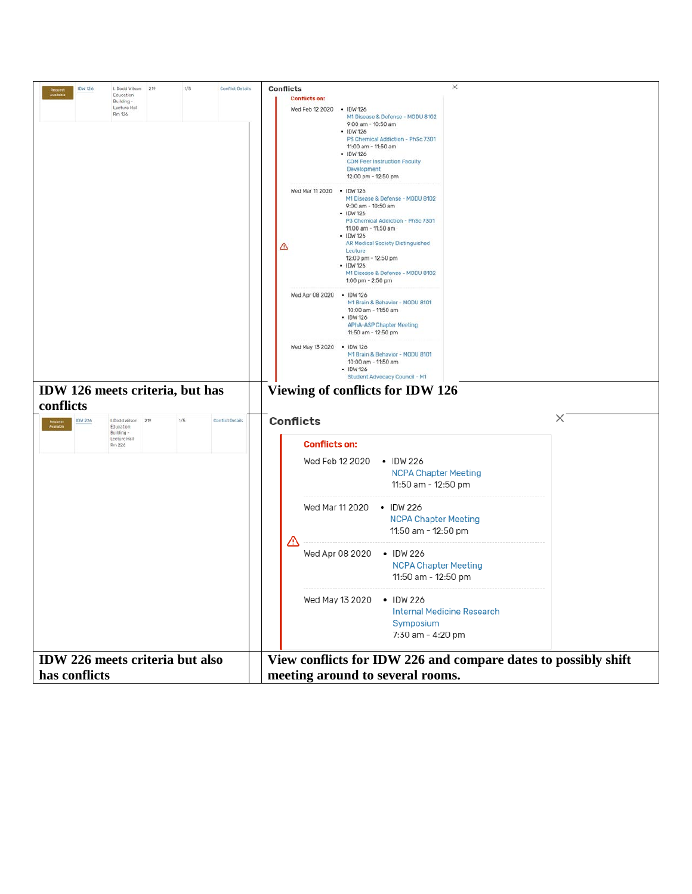| 1/5<br><b>Conflict Details</b><br>IDW 126<br>I. Dodd Wilson 219<br>Education<br>Building -<br>Lecture Hall<br>Rm 126                                                 | $\times$<br><b>Conflicts</b><br><b>Conflicts on:</b><br>Wed Feb 12 2020 . IDW 126<br>M1 Disease & Defense - MODU 8102<br>9:00 am - 10:50 am<br>· IDW 126<br>P3 Chemical Addiction - PhSc 7301<br>11:00 am - 11:50 am<br>· IDW 126<br><b>COM Peer Instruction Faculty</b><br>Development<br>12:00 pm - 12:50 pm<br>Wed Mar 11 2020 . IDW 126<br>M1 Disease & Defense - MODU 8102<br>9:00 am - 10:50 am<br>· IDW 126<br>P3 Chemical Addiction - PhSc 7301<br>11:00 am - 11:50 am<br>· IDW 126<br>AR Medical Society Distinguished<br>△<br>Lecture<br>12:00 pm - 12:50 pm<br>· IDW 126<br>M1 Disease & Defense - MODU 8102<br>1:00 pm - 2:50 pm<br>Wed Apr 08 2020 . IDW 126<br>M1 Brain & Behavior - MODU 8101 |
|----------------------------------------------------------------------------------------------------------------------------------------------------------------------|--------------------------------------------------------------------------------------------------------------------------------------------------------------------------------------------------------------------------------------------------------------------------------------------------------------------------------------------------------------------------------------------------------------------------------------------------------------------------------------------------------------------------------------------------------------------------------------------------------------------------------------------------------------------------------------------------------------|
| IDW 126 meets criteria, but has<br>conflicts<br>1/5<br>I. Dodd Wilson 219<br>Conflict Details<br><b>IDW 226</b><br>Education<br>Building -<br>Lecture Hall<br>Rm 226 | 10:00 am - 11:50 am<br>· IDW 126<br><b>APhA-ASP Chapter Meeting</b><br>11:50 am - 12:50 pm<br>Wed May 13 2020 . IDW 126<br>M1 Brain & Behavior - MODU 8101<br>10:00 am - 11:50 am<br>$-$ IDW 126<br>Student Advocacy Council - M1<br>Viewing of conflicts for IDW 126<br>×<br><b>Conflicts</b><br><b>Conflicts on:</b>                                                                                                                                                                                                                                                                                                                                                                                       |
|                                                                                                                                                                      | Wed Feb 12 2020<br>$\cdot$ IDW 226<br><b>NCPA Chapter Meeting</b><br>11:50 am - 12:50 pm<br>Wed Mar 11 2020<br>$\cdot$ IDW 226<br><b>NCPA Chapter Meeting</b><br>11:50 am - 12:50 pm<br>Wed Apr 08 2020 . IDW 226<br><b>NCPA Chapter Meeting</b><br>11:50 am - 12:50 pm<br>Wed May 13 2020                                                                                                                                                                                                                                                                                                                                                                                                                   |
|                                                                                                                                                                      | $\cdot$ IDW 226<br><b>Internal Medicine Research</b><br>Symposium<br>7:30 am - 4:20 pm                                                                                                                                                                                                                                                                                                                                                                                                                                                                                                                                                                                                                       |
| IDW 226 meets criteria but also<br>has conflicts                                                                                                                     | View conflicts for IDW 226 and compare dates to possibly shift<br>meeting around to several rooms.                                                                                                                                                                                                                                                                                                                                                                                                                                                                                                                                                                                                           |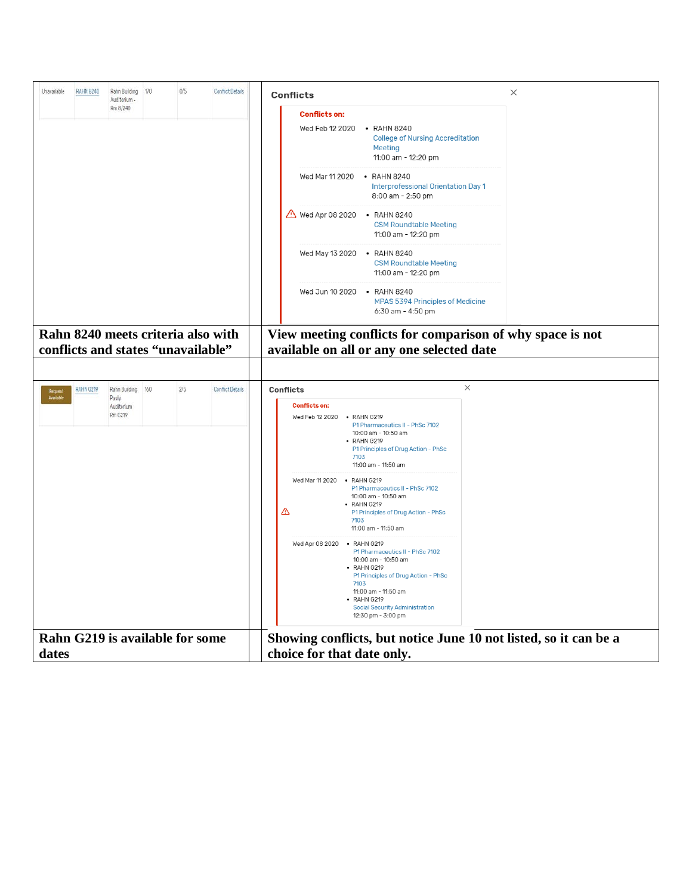| Unavailable          | RAHN 8240 | Rahn Building 170<br>Auditorium -                                        | 0/5 | Conflict Details        | <b>Conflicts</b>                                                                                                                                                                                                                                         | $\times$ |
|----------------------|-----------|--------------------------------------------------------------------------|-----|-------------------------|----------------------------------------------------------------------------------------------------------------------------------------------------------------------------------------------------------------------------------------------------------|----------|
|                      |           | Rm 8/240                                                                 |     |                         | <b>Conflicts on:</b>                                                                                                                                                                                                                                     |          |
|                      |           |                                                                          |     |                         | Wed Feb 12 2020<br>• RAHN 8240<br><b>College of Nursing Accreditation</b><br>Meeting<br>11:00 am - 12:20 pm                                                                                                                                              |          |
|                      |           |                                                                          |     |                         | Wed Mar 11 2020 • RAHN 8240<br>Interprofessional Orientation Day 1<br>8:00 am - 2:50 pm                                                                                                                                                                  |          |
|                      |           |                                                                          |     |                         | Wed Apr 08 2020 • RAHN 8240<br><b>CSM Roundtable Meeting</b><br>11:00 am - 12:20 pm                                                                                                                                                                      |          |
|                      |           |                                                                          |     |                         | Wed May 13 2020 • RAHN 8240<br><b>CSM Roundtable Meeting</b><br>11:00 am - 12:20 pm                                                                                                                                                                      |          |
|                      |           |                                                                          |     |                         | Wed Jun 10 2020 • RAHN 8240<br><b>MPAS 5394 Principles of Medicine</b><br>6:30 am - 4:50 pm                                                                                                                                                              |          |
|                      |           | Rahn 8240 meets criteria also with<br>conflicts and states "unavailable" |     |                         | View meeting conflicts for comparison of why space is not<br>available on all or any one selected date                                                                                                                                                   |          |
|                      | RAHN G219 | Rahn Building 160                                                        | 2/5 | <b>Conflict Details</b> | $\times$<br><b>Conflicts</b>                                                                                                                                                                                                                             |          |
| Request<br>Available |           | Pauly<br>Auditorium<br>Rm G219                                           |     |                         | <b>Conflicts on:</b><br>Wed Feb 12 2020 . RAHN G219<br>P1 Pharmaceutics II - PhSc 7102<br>10:00 am - 10:50 am<br>• RAHN G219<br>P1 Principles of Drug Action - PhSc<br>7103<br>11:00 am - 11:50 am                                                       |          |
|                      |           |                                                                          |     |                         | Wed Mar 11 2020 • RAHN G219<br>P1 Pharmaceutics II - PhSc 7102<br>10:00 am - 10:50 am<br>• RAHN G219<br>⚠<br>P1 Principles of Drug Action - PhSc<br>7103<br>11:00 am - 11:50 am                                                                          |          |
|                      |           |                                                                          |     |                         | Wed Apr 08 2020 . RAHN G219<br>P1 Pharmaceutics II - PhSc 7102<br>10:00 am - 10:50 am<br>• RAHN G219<br>P1 Principles of Drug Action - PhSc<br>7103<br>11:00 am - 11:50 am<br>• RAHN G219<br><b>Social Security Administration</b><br>12:30 pm - 3:00 pm |          |
|                      |           | Rahn G219 is available for some                                          |     |                         | Showing conflicts, but notice June 10 not listed, so it can be a                                                                                                                                                                                         |          |
| dates                |           |                                                                          |     |                         | choice for that date only.                                                                                                                                                                                                                               |          |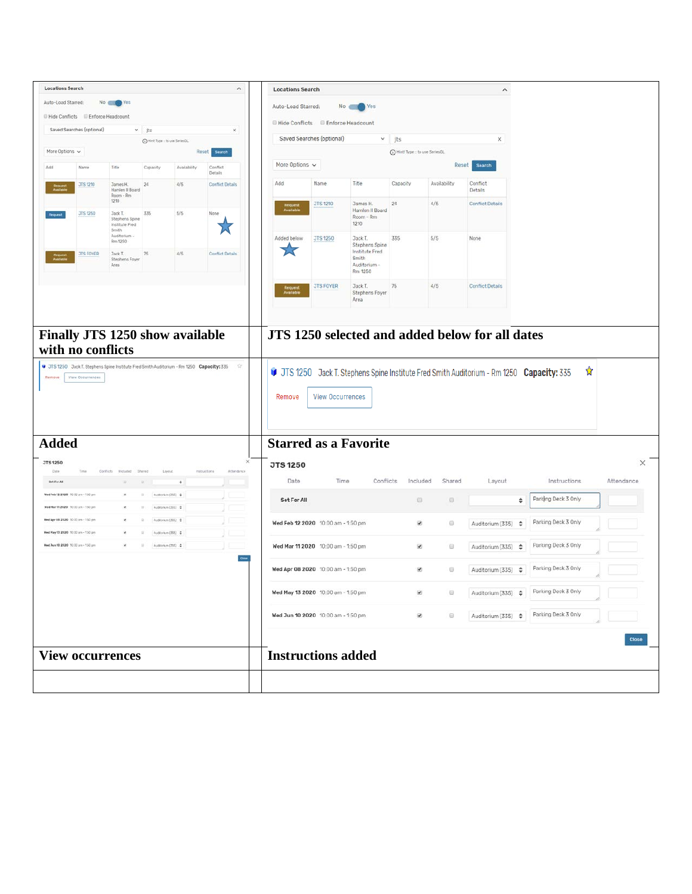| <b>Locations Search</b>                                                 |                           |                                                              |                                         |                        | $\wedge$                   | <b>Locations Search</b>                |                           |                                                                      |                                   |                         | $\hat{\phantom{a}}$                |                                                    |              |
|-------------------------------------------------------------------------|---------------------------|--------------------------------------------------------------|-----------------------------------------|------------------------|----------------------------|----------------------------------------|---------------------------|----------------------------------------------------------------------|-----------------------------------|-------------------------|------------------------------------|----------------------------------------------------|--------------|
| Auto-Load Starred:                                                      |                           | No Wes                                                       |                                         |                        |                            | Auto-Load Starred:                     |                           | No C<br>Yes                                                          |                                   |                         |                                    |                                                    |              |
| Il Hide Conflicts Il Enforce Headcount                                  |                           |                                                              |                                         |                        |                            |                                        |                           |                                                                      |                                   |                         |                                    |                                                    |              |
|                                                                         | Saved Searches (optional) |                                                              | $~ v$ jts                               |                        | ×                          | Hide Conflicts Enforce Headcount       |                           |                                                                      |                                   |                         |                                    |                                                    |              |
|                                                                         |                           |                                                              | C Hint Type : to use SeriesOL           |                        |                            |                                        | Saved Searches (optional) |                                                                      | $ightharpoonup$ jts               |                         | ×                                  |                                                    |              |
| More Options $\sqrt{}$                                                  |                           |                                                              |                                         |                        | Reset<br><b>Search</b>     |                                        |                           |                                                                      | (D) Hint! Type :: to use SeriesOL |                         |                                    |                                                    |              |
| Add                                                                     | Name                      | Title                                                        | Capacity                                | Availability           | Conflict<br>Details        | More Options $\sqrt{ }$                |                           |                                                                      |                                   | Reset                   | Search                             |                                                    |              |
|                                                                         | <b>JTS 1210</b>           | <b>James H.</b><br>Hamlen II Board<br>Room - Rm              | 24                                      | 4/5                    | <b>Conflict Details</b>    | Add                                    | Name                      | Title                                                                | Capacity                          | Availability            | Conflict<br>Details                |                                                    |              |
|                                                                         | JTS 1250                  | 1210<br>Jack T.<br>Stephens Spine<br>Institute Fred<br>Smith | 335                                     | 5/5                    | None                       |                                        | JTS 1210                  | James H.<br>Hamlen II Board<br>Room - Rm<br>1210                     | 24                                | 4/5                     | <b>Conflict Details</b>            |                                                    |              |
|                                                                         | <b>JTS FOYER</b>          | Auditorium -<br>Rm 1250<br>Jack T.<br>Stephens Foyer<br>Area | 75                                      | 4/5                    | <b>Conflict Details</b>    | Added below<br>25                      | JTS 1250                  | Jack T.<br>Stephens Spine<br>Institute Fred<br>Smith<br>Auditorium - | 335                               | 5/5                     | None                               |                                                    |              |
|                                                                         |                           |                                                              |                                         |                        |                            | Request<br>Available                   | <b>JTS FOYER</b>          | Rm 1250<br>Jack T.<br>Stephens Foyer<br>Area                         | 75                                | 4/5                     | <b>Conflict Details</b>            |                                                    |              |
| <b>Added</b>                                                            |                           |                                                              |                                         |                        |                            | Remove<br><b>Starred as a Favorite</b> | <b>View Occurrences</b>   |                                                                      |                                   |                         |                                    |                                                    |              |
| <b>JTS 1250</b>                                                         |                           |                                                              |                                         |                        | $\times$                   | <b>JTS 1250</b>                        |                           |                                                                      |                                   |                         |                                    |                                                    | $\times$     |
| Date<br>Set For All                                                     | Time                      | Confiets<br>Included                                         | Shared<br>Layout                        | $\left  \cdot \right $ | Instructions<br>Attendance | Date                                   | Time                      | Conflicts                                                            | Included                          | Shared                  | Layout                             | Instructions                                       | Attendance   |
| Wed Feb 12 2020 10:00 am - 150 pm<br>Med Mar 112020 10:00 pm - 150 pm   |                           |                                                              | Autonium (335) \$<br>Auditorium (335) 0 |                        |                            | Set For All                            |                           |                                                                      | 日                                 | 0                       |                                    | Parking Deck 3 Only<br>÷                           |              |
| Med Apr 08 2020 10:00 am - 1:50 pm<br>Med May 13 2020 10:00 am - 150 pm |                           |                                                              | Authorize (335) : #<br>$$CBER$ minimum. |                        |                            | Wed Feb 12 2020 10:00 am - 1:50 pm     |                           |                                                                      | ø                                 | $\qquad \qquad \boxdot$ | Auditorium (335)                   | Parking Deck 3 Only<br>$\hat{\cdot}$               |              |
| Med Jun 10 2020 10:00 am - 1.50 pm                                      |                           |                                                              | Auditorium (330) 4                      |                        |                            | Wed Mar 11 2020 10:00 am - 1:50 pm     |                           |                                                                      | ø.                                | 0                       | Auditorium (335) $\div$            | Parking Deck 3 Only                                |              |
|                                                                         |                           |                                                              |                                         |                        |                            | Wed Apr 08 2020 10:00 am - 1:50 pm     |                           |                                                                      | ø                                 | ⊜                       | Auditorium (335) $\Leftrightarrow$ | Parking Deck 3 Only                                |              |
|                                                                         |                           |                                                              |                                         |                        |                            | Wed May 13 2020 10:00 am - 1:50 pm     |                           |                                                                      | $\mathcal{L}$                     | 日                       |                                    | Auditorium (335) $\frac{1}{2}$ Parking Deck 3 Only |              |
|                                                                         |                           |                                                              |                                         |                        |                            | Wed Jun 10 2020 10:00 am - 1:50 pm     |                           |                                                                      | $\frac{1}{2}$                     | $\Box$                  | Auditorium (335) $\Leftrightarrow$ | Parking Deck 3 Only                                |              |
|                                                                         |                           |                                                              |                                         |                        |                            |                                        |                           |                                                                      |                                   |                         |                                    |                                                    | <b>Close</b> |
|                                                                         |                           | <b>View occurrences</b>                                      |                                         |                        |                            | <b>Instructions added</b>              |                           |                                                                      |                                   |                         |                                    |                                                    |              |
|                                                                         |                           |                                                              |                                         |                        |                            |                                        |                           |                                                                      |                                   |                         |                                    |                                                    |              |
|                                                                         |                           |                                                              |                                         |                        |                            |                                        |                           |                                                                      |                                   |                         |                                    |                                                    |              |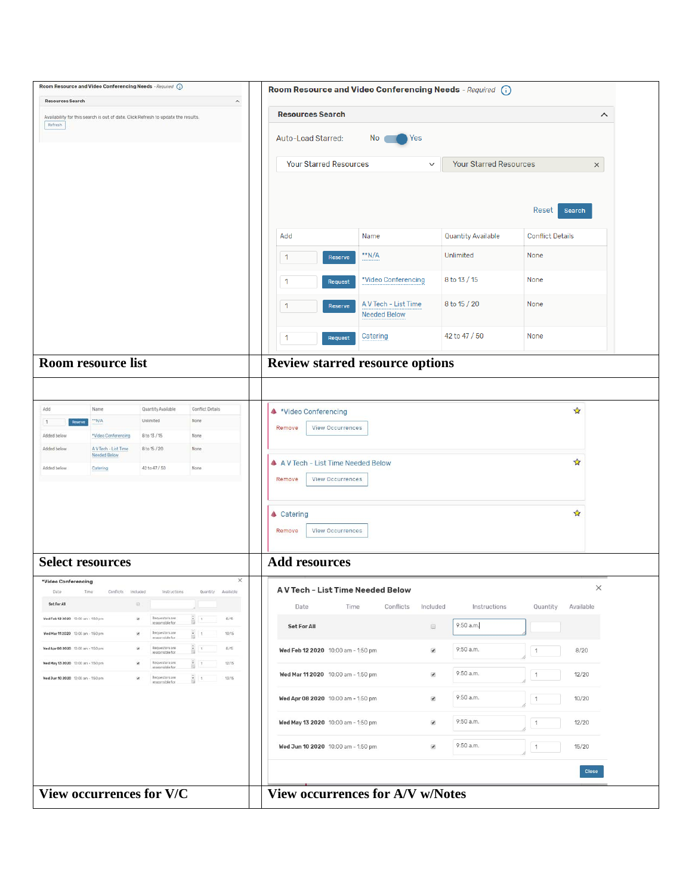| Room Resource and Video Conferencing Needs - Required (i)                                                                                                                                                            | Room Resource and Video Conferencing Needs - Required (i)                                           |  |  |  |  |  |  |  |  |  |
|----------------------------------------------------------------------------------------------------------------------------------------------------------------------------------------------------------------------|-----------------------------------------------------------------------------------------------------|--|--|--|--|--|--|--|--|--|
| <b>Resources Search</b><br>$\hat{\phantom{a}}$                                                                                                                                                                       |                                                                                                     |  |  |  |  |  |  |  |  |  |
| <b>Resources Search</b><br>Availability for this search is out of date. Click Refresh to update the results.<br>Refresh                                                                                              |                                                                                                     |  |  |  |  |  |  |  |  |  |
|                                                                                                                                                                                                                      | Auto-Load Starred:<br>Yes<br>No                                                                     |  |  |  |  |  |  |  |  |  |
|                                                                                                                                                                                                                      | <b>Your Starred Resources</b><br><b>Your Starred Resources</b><br>$\checkmark$<br>$\times$          |  |  |  |  |  |  |  |  |  |
|                                                                                                                                                                                                                      |                                                                                                     |  |  |  |  |  |  |  |  |  |
|                                                                                                                                                                                                                      |                                                                                                     |  |  |  |  |  |  |  |  |  |
|                                                                                                                                                                                                                      | Reset<br>Search                                                                                     |  |  |  |  |  |  |  |  |  |
|                                                                                                                                                                                                                      | Add<br>Name<br><b>Quantity Available</b><br><b>Conflict Details</b>                                 |  |  |  |  |  |  |  |  |  |
|                                                                                                                                                                                                                      | **N/A<br>Unlimited<br>None<br>$\mathbf{1}$<br>Reserve                                               |  |  |  |  |  |  |  |  |  |
|                                                                                                                                                                                                                      | *Video Conferencing<br>8 to 13 / 15<br>None<br>1<br>Request                                         |  |  |  |  |  |  |  |  |  |
|                                                                                                                                                                                                                      | A V Tech - List Time<br>8 to 15 / 20<br>None<br>1<br>Reserve<br><b>Needed Below</b>                 |  |  |  |  |  |  |  |  |  |
|                                                                                                                                                                                                                      | 42 to 47 / 50<br>None<br>Catering<br>1<br>Request                                                   |  |  |  |  |  |  |  |  |  |
| Room resource list                                                                                                                                                                                                   | <b>Review starred resource options</b>                                                              |  |  |  |  |  |  |  |  |  |
|                                                                                                                                                                                                                      |                                                                                                     |  |  |  |  |  |  |  |  |  |
| Conflict Details<br>Quantity Available<br>Add<br>Name                                                                                                                                                                | ☆<br><sup>*</sup> Video Conferencing                                                                |  |  |  |  |  |  |  |  |  |
| Unlimited<br>**N/A<br>None<br>$\mathbf{1}$<br>Reserve                                                                                                                                                                | <b>View Occurrences</b><br>Remove                                                                   |  |  |  |  |  |  |  |  |  |
| *Video Conferencing<br>8 to 13 / 15<br>Added below<br>None                                                                                                                                                           |                                                                                                     |  |  |  |  |  |  |  |  |  |
| B to 15 / 20<br>Added below<br>AV Tech - List Time<br>None<br>Needed Below                                                                                                                                           |                                                                                                     |  |  |  |  |  |  |  |  |  |
| Added below<br>42 to 47 / 50<br>None<br>Catering                                                                                                                                                                     | ☆<br>A A V Tech - List Time Needed Below                                                            |  |  |  |  |  |  |  |  |  |
|                                                                                                                                                                                                                      | Remove<br>View Occurrences                                                                          |  |  |  |  |  |  |  |  |  |
|                                                                                                                                                                                                                      |                                                                                                     |  |  |  |  |  |  |  |  |  |
|                                                                                                                                                                                                                      | ☆<br><b>▲ Catering</b>                                                                              |  |  |  |  |  |  |  |  |  |
|                                                                                                                                                                                                                      |                                                                                                     |  |  |  |  |  |  |  |  |  |
|                                                                                                                                                                                                                      | Remove<br><b>View Occurrences</b>                                                                   |  |  |  |  |  |  |  |  |  |
|                                                                                                                                                                                                                      |                                                                                                     |  |  |  |  |  |  |  |  |  |
| <b>Select resources</b>                                                                                                                                                                                              | <b>Add resources</b>                                                                                |  |  |  |  |  |  |  |  |  |
| ×<br>*Video Conferencing<br>Date:<br>Conflicts Included<br>Instructions<br>Quantity Available<br>Time                                                                                                                | X<br>A V Tech - List Time Needed Below                                                              |  |  |  |  |  |  |  |  |  |
| Set For All<br>$\Box$                                                                                                                                                                                                | Date<br>Time<br>Conflicts<br>Included<br>Instructions<br>Quantity<br>Available                      |  |  |  |  |  |  |  |  |  |
| Wed Feb 12 2020 10:00 am - 150 pm<br>Requestors are<br>$\frac{1}{2}$<br>8/25<br>$\mathbf{z}$<br>responsible for                                                                                                      | 9:50 a.m.<br>$\qquad \qquad \qquad \qquad \qquad \qquad \qquad \qquad \qquad \qquad$<br>Set For All |  |  |  |  |  |  |  |  |  |
| $\frac{1}{10}$ 1<br>Wed Mar 112020 10:00 am - 1.50 pm<br><b>Districted one</b><br>10/15<br>$\mathbf x$<br>responsible for                                                                                            |                                                                                                     |  |  |  |  |  |  |  |  |  |
| $\frac{1}{2}$<br>Ned Apr 00 2020 10:00 am - 150 pm<br>Requestors are<br>$\alpha$<br>6/15<br>responsible for                                                                                                          | 9:50 a.m.<br>8/20<br>Wed Feb 12 2020 10:00 am - 1:50 pm<br>$\blacktriangledown$<br>$\mathbf{1}$     |  |  |  |  |  |  |  |  |  |
| Requestors are<br>ŝ<br>Wed May 13 2020 10:00 am - 150 pm<br>12/15<br>$\mathbf{1}$<br>×<br>responsible for<br>Wed Jun 10 2020 10:00 am - 1:50 pm<br>Requestors are<br>종치<br>13/15<br>$\mathcal{C}$<br>responsible for | 9:50 a.m.<br>Wed Mar 11 2020 10:00 am - 1:50 pm<br>$\blacktriangledown$<br>12/20<br>$\mathbf{1}$    |  |  |  |  |  |  |  |  |  |
|                                                                                                                                                                                                                      | 9:50 a.m.<br>Wed Apr 08 2020 10:00 am - 1:50 pm<br>$\blacktriangledown$<br>10/20<br>$\mathbf{1}$    |  |  |  |  |  |  |  |  |  |
|                                                                                                                                                                                                                      | 9:50 a.m.<br>Wed May 13 2020 10:00 am - 1:50 pm<br>$\blacktriangledown$<br>12/20<br>$\mathbf{1}$    |  |  |  |  |  |  |  |  |  |
|                                                                                                                                                                                                                      | 9:50 a.m.<br>15/20<br>Wed Jun 10 2020 10:00 am - 1:50 pm<br>$\blacktriangledown$<br>1               |  |  |  |  |  |  |  |  |  |
|                                                                                                                                                                                                                      | Close                                                                                               |  |  |  |  |  |  |  |  |  |
| View occurrences for V/C                                                                                                                                                                                             | <b>View occurrences for A/V w/Notes</b>                                                             |  |  |  |  |  |  |  |  |  |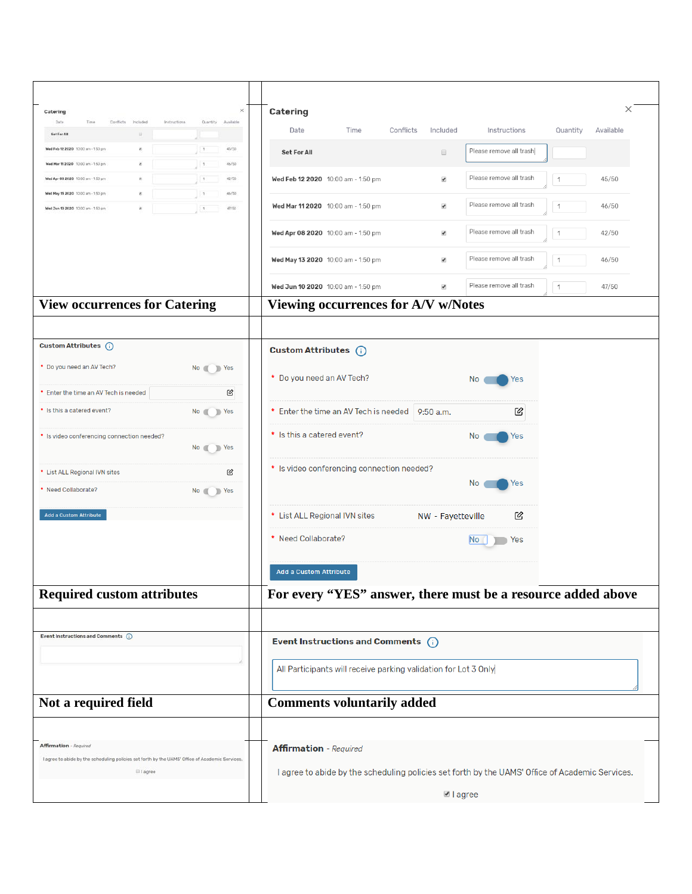| Catering                                                                                        |                          | ×                      | Catering                            |                                                                 |           |                          |                                                                                                 |               | $\times$  |
|-------------------------------------------------------------------------------------------------|--------------------------|------------------------|-------------------------------------|-----------------------------------------------------------------|-----------|--------------------------|-------------------------------------------------------------------------------------------------|---------------|-----------|
| Date<br>Conflicts<br>Time                                                                       | Instructions<br>Included | Quantity Available     | Date                                | Time                                                            | Conflicts | Included                 | Instructions                                                                                    | Quantity      | Available |
| <b>Set For All</b><br>Med Feb 12 2020 10:00 am - 150 pm                                         | ш.<br>W.                 | $\,$ 1<br>45/50        |                                     |                                                                 |           |                          |                                                                                                 |               |           |
| Wed Mar 11 2020 10:00 am - 150 pm                                                               | ×                        | $\frac{1}{2}$<br>46/50 | Set For All                         |                                                                 |           | $\Box$                   | Please remove all trash                                                                         |               |           |
| Wed Apr 09 2020 10:00 am - 150 pm                                                               | ×                        | $\,$ 1<br>42/50        |                                     | Wed Feb 12 2020 10:00 am - 1:50 pm                              |           | $\blacktriangledown$     | Please remove all trash                                                                         | $\mathbf{1}$  | 45/50     |
| Wed May 13 2020 10:00 am - 150 pm                                                               | 36                       | 46/50                  |                                     |                                                                 |           |                          |                                                                                                 |               |           |
| Wed Jun 10 2020 10:00 pm - 150 pm                                                               | W)                       | 15<br>47/50            |                                     | Wed Mar 11 2020 10:00 am - 1:50 pm                              |           | $\overline{\mathcal{L}}$ | Please remove all trash                                                                         | $\mathbf{1}$  | 46/50     |
|                                                                                                 |                          |                        |                                     | Wed Apr 08 2020 10:00 am - 1:50 pm                              |           | $\blacktriangledown$     | Please remove all trash                                                                         | $\mathbf{1}$  | 42/50     |
|                                                                                                 |                          |                        |                                     | Wed May 13 2020 10:00 am - 1:50 pm                              |           | $\blacktriangledown$     | Please remove all trash                                                                         | $\mathcal{I}$ | 46/50     |
|                                                                                                 |                          |                        |                                     | Wed Jun 10 2020 10:00 am - 1:50 pm                              |           | $\blacktriangledown$     | Please remove all trash                                                                         | $\mathbf{1}$  | 47/50     |
| <b>View occurrences for Catering</b>                                                            |                          |                        | Viewing occurrences for A/V w/Notes |                                                                 |           |                          |                                                                                                 |               |           |
|                                                                                                 |                          |                        |                                     |                                                                 |           |                          |                                                                                                 |               |           |
| Custom Attributes (i)                                                                           |                          |                        | Custom Attributes (i)               |                                                                 |           |                          |                                                                                                 |               |           |
| * Do you need an AV Tech?                                                                       |                          | No Yes                 |                                     |                                                                 |           |                          |                                                                                                 |               |           |
| * Enter the time an AV Tech is needed                                                           |                          | Ø                      | * Do you need an AV Tech?           |                                                                 |           |                          | No<br>Yes                                                                                       |               |           |
| * Is this a catered event?                                                                      |                          | No Yes                 |                                     | * Enter the time an AV Tech is needed   9:50 a.m.               |           |                          | 丝                                                                                               |               |           |
|                                                                                                 |                          |                        | * Is this a catered event?          |                                                                 |           |                          | No.                                                                                             |               |           |
| * Is video conferencing connection needed?                                                      |                          | No Yes                 |                                     |                                                                 |           |                          | Yes                                                                                             |               |           |
| * List ALL Regional IVN sites                                                                   |                          | 囪                      |                                     | * Is video conferencing connection needed?                      |           |                          |                                                                                                 |               |           |
| * Need Collaborate?                                                                             |                          | No Yes                 |                                     |                                                                 |           |                          | No<br>Yes                                                                                       |               |           |
| Add a Custom Attribute                                                                          |                          |                        | * List ALL Regional IVN sites       |                                                                 |           | NW - Fayetteville        | 囪                                                                                               |               |           |
|                                                                                                 |                          |                        | * Need Collaborate?                 |                                                                 |           |                          | No<br>Yes                                                                                       |               |           |
|                                                                                                 |                          |                        | <b>Add a Custom Attribute</b>       |                                                                 |           |                          |                                                                                                 |               |           |
| <b>Required custom attributes</b>                                                               |                          |                        |                                     |                                                                 |           |                          | For every "YES" answer, there must be a resource added above                                    |               |           |
|                                                                                                 |                          |                        |                                     |                                                                 |           |                          |                                                                                                 |               |           |
| Event Instructions and Comments (                                                               |                          |                        |                                     | Event Instructions and Comments $(i)$                           |           |                          |                                                                                                 |               |           |
|                                                                                                 |                          |                        |                                     |                                                                 |           |                          |                                                                                                 |               |           |
|                                                                                                 |                          |                        |                                     | All Participants will receive parking validation for Lot 3 Only |           |                          |                                                                                                 |               |           |
| Not a required field                                                                            |                          |                        | <b>Comments voluntarily added</b>   |                                                                 |           |                          |                                                                                                 |               |           |
|                                                                                                 |                          |                        |                                     |                                                                 |           |                          |                                                                                                 |               |           |
| <b>Affirmation</b> - Required                                                                   |                          |                        | <b>Affirmation</b> - Required       |                                                                 |           |                          |                                                                                                 |               |           |
| I agree to abide by the scheduling policies set forth by the UAMS' Office of Academic Services. | $i$ i agree              |                        |                                     |                                                                 |           |                          | I agree to abide by the scheduling policies set forth by the UAMS' Office of Academic Services. |               |           |
|                                                                                                 |                          |                        |                                     |                                                                 |           | ■ lagree                 |                                                                                                 |               |           |